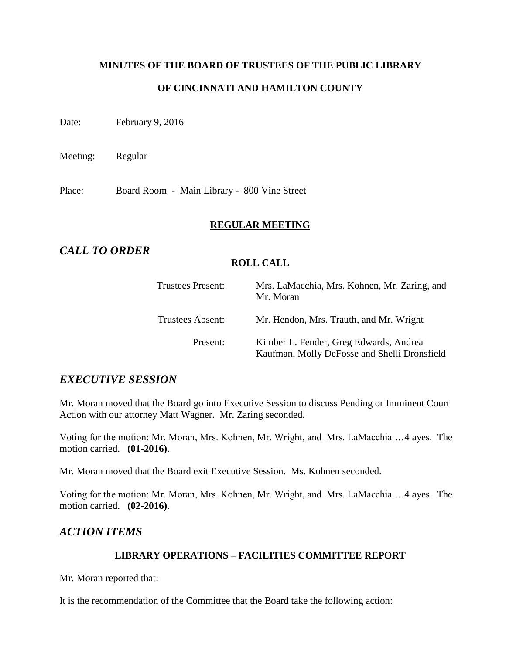## **MINUTES OF THE BOARD OF TRUSTEES OF THE PUBLIC LIBRARY OF CINCINNATI AND HAMILTON COUNTY**

Date: February 9, 2016

Meeting: Regular

Place: Board Room - Main Library - 800 Vine Street

#### **REGULAR MEETING**

## *CALL TO ORDER*

#### **ROLL CALL**

| <b>Trustees Present:</b> | Mrs. LaMacchia, Mrs. Kohnen, Mr. Zaring, and<br>Mr. Moran                              |
|--------------------------|----------------------------------------------------------------------------------------|
| Trustees Absent:         | Mr. Hendon, Mrs. Trauth, and Mr. Wright                                                |
| Present:                 | Kimber L. Fender, Greg Edwards, Andrea<br>Kaufman, Molly DeFosse and Shelli Dronsfield |

## *EXECUTIVE SESSION*

Mr. Moran moved that the Board go into Executive Session to discuss Pending or Imminent Court Action with our attorney Matt Wagner. Mr. Zaring seconded.

Voting for the motion: Mr. Moran, Mrs. Kohnen, Mr. Wright, and Mrs. LaMacchia …4 ayes. The motion carried. **(01-2016)**.

Mr. Moran moved that the Board exit Executive Session. Ms. Kohnen seconded.

Voting for the motion: Mr. Moran, Mrs. Kohnen, Mr. Wright, and Mrs. LaMacchia …4 ayes. The motion carried. **(02-2016)**.

## *ACTION ITEMS*

#### **LIBRARY OPERATIONS – FACILITIES COMMITTEE REPORT**

Mr. Moran reported that:

It is the recommendation of the Committee that the Board take the following action: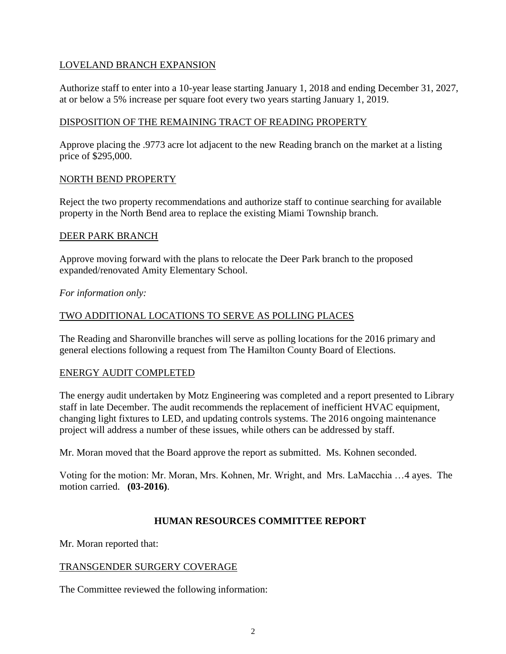#### LOVELAND BRANCH EXPANSION

Authorize staff to enter into a 10-year lease starting January 1, 2018 and ending December 31, 2027, at or below a 5% increase per square foot every two years starting January 1, 2019.

#### DISPOSITION OF THE REMAINING TRACT OF READING PROPERTY

Approve placing the .9773 acre lot adjacent to the new Reading branch on the market at a listing price of \$295,000.

#### NORTH BEND PROPERTY

Reject the two property recommendations and authorize staff to continue searching for available property in the North Bend area to replace the existing Miami Township branch.

#### DEER PARK BRANCH

Approve moving forward with the plans to relocate the Deer Park branch to the proposed expanded/renovated Amity Elementary School.

*For information only:*

#### TWO ADDITIONAL LOCATIONS TO SERVE AS POLLING PLACES

The Reading and Sharonville branches will serve as polling locations for the 2016 primary and general elections following a request from The Hamilton County Board of Elections.

#### ENERGY AUDIT COMPLETED

The energy audit undertaken by Motz Engineering was completed and a report presented to Library staff in late December. The audit recommends the replacement of inefficient HVAC equipment, changing light fixtures to LED, and updating controls systems. The 2016 ongoing maintenance project will address a number of these issues, while others can be addressed by staff.

Mr. Moran moved that the Board approve the report as submitted. Ms. Kohnen seconded.

Voting for the motion: Mr. Moran, Mrs. Kohnen, Mr. Wright, and Mrs. LaMacchia …4 ayes. The motion carried. **(03-2016)**.

#### **HUMAN RESOURCES COMMITTEE REPORT**

Mr. Moran reported that:

#### TRANSGENDER SURGERY COVERAGE

The Committee reviewed the following information: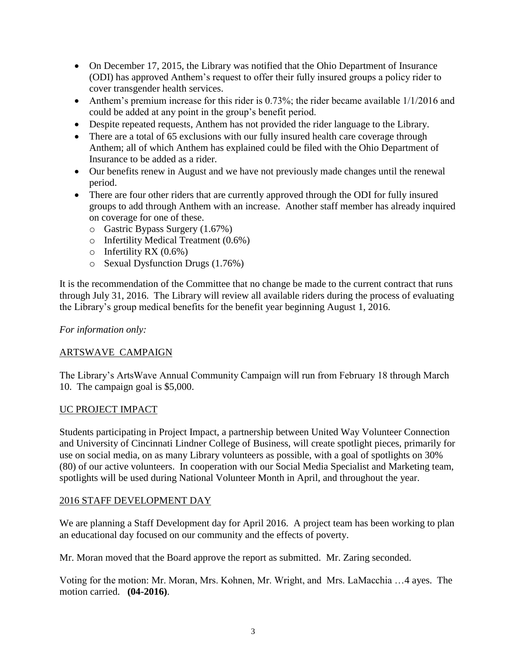- On December 17, 2015, the Library was notified that the Ohio Department of Insurance (ODI) has approved Anthem's request to offer their fully insured groups a policy rider to cover transgender health services.
- Anthem's premium increase for this rider is 0.73%; the rider became available  $1/1/2016$  and could be added at any point in the group's benefit period.
- Despite repeated requests, Anthem has not provided the rider language to the Library.
- There are a total of 65 exclusions with our fully insured health care coverage through Anthem; all of which Anthem has explained could be filed with the Ohio Department of Insurance to be added as a rider.
- Our benefits renew in August and we have not previously made changes until the renewal period.
- There are four other riders that are currently approved through the ODI for fully insured groups to add through Anthem with an increase. Another staff member has already inquired on coverage for one of these.
	- o Gastric Bypass Surgery (1.67%)
	- o Infertility Medical Treatment (0.6%)
	- $\circ$  Infertility RX (0.6%)
	- o Sexual Dysfunction Drugs (1.76%)

It is the recommendation of the Committee that no change be made to the current contract that runs through July 31, 2016. The Library will review all available riders during the process of evaluating the Library's group medical benefits for the benefit year beginning August 1, 2016.

#### *For information only:*

#### ARTSWAVE CAMPAIGN

The Library's ArtsWave Annual Community Campaign will run from February 18 through March 10. The campaign goal is \$5,000.

#### UC PROJECT IMPACT

Students participating in Project Impact, a partnership between United Way Volunteer Connection and University of Cincinnati Lindner College of Business, will create spotlight pieces, primarily for use on social media, on as many Library volunteers as possible, with a goal of spotlights on 30% (80) of our active volunteers. In cooperation with our Social Media Specialist and Marketing team, spotlights will be used during National Volunteer Month in April, and throughout the year.

#### 2016 STAFF DEVELOPMENT DAY

We are planning a Staff Development day for April 2016. A project team has been working to plan an educational day focused on our community and the effects of poverty.

Mr. Moran moved that the Board approve the report as submitted. Mr. Zaring seconded.

Voting for the motion: Mr. Moran, Mrs. Kohnen, Mr. Wright, and Mrs. LaMacchia …4 ayes. The motion carried. **(04-2016)**.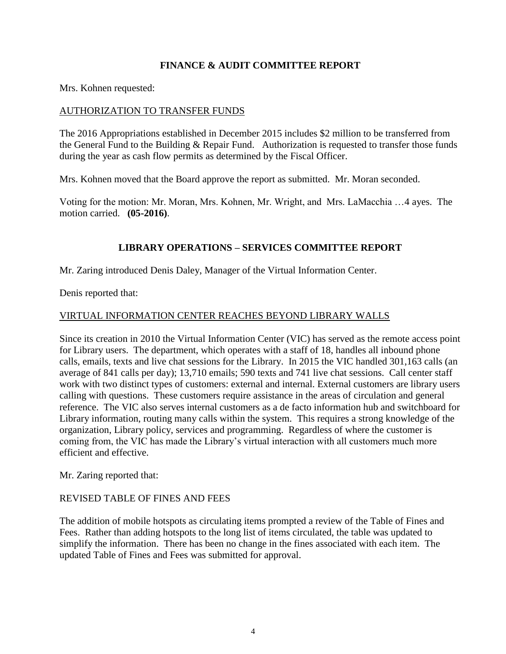#### **FINANCE & AUDIT COMMITTEE REPORT**

Mrs. Kohnen requested:

#### AUTHORIZATION TO TRANSFER FUNDS

The 2016 Appropriations established in December 2015 includes \$2 million to be transferred from the General Fund to the Building & Repair Fund. Authorization is requested to transfer those funds during the year as cash flow permits as determined by the Fiscal Officer.

Mrs. Kohnen moved that the Board approve the report as submitted. Mr. Moran seconded.

Voting for the motion: Mr. Moran, Mrs. Kohnen, Mr. Wright, and Mrs. LaMacchia …4 ayes. The motion carried. **(05-2016)**.

#### **LIBRARY OPERATIONS – SERVICES COMMITTEE REPORT**

Mr. Zaring introduced Denis Daley, Manager of the Virtual Information Center.

Denis reported that:

#### VIRTUAL INFORMATION CENTER REACHES BEYOND LIBRARY WALLS

Since its creation in 2010 the Virtual Information Center (VIC) has served as the remote access point for Library users. The department, which operates with a staff of 18, handles all inbound phone calls, emails, texts and live chat sessions for the Library. In 2015 the VIC handled 301,163 calls (an average of 841 calls per day); 13,710 emails; 590 texts and 741 live chat sessions. Call center staff work with two distinct types of customers: external and internal. External customers are library users calling with questions. These customers require assistance in the areas of circulation and general reference. The VIC also serves internal customers as a de facto information hub and switchboard for Library information, routing many calls within the system. This requires a strong knowledge of the organization, Library policy, services and programming. Regardless of where the customer is coming from, the VIC has made the Library's virtual interaction with all customers much more efficient and effective.

Mr. Zaring reported that:

#### REVISED TABLE OF FINES AND FEES

The addition of mobile hotspots as circulating items prompted a review of the Table of Fines and Fees. Rather than adding hotspots to the long list of items circulated, the table was updated to simplify the information. There has been no change in the fines associated with each item. The updated Table of Fines and Fees was submitted for approval.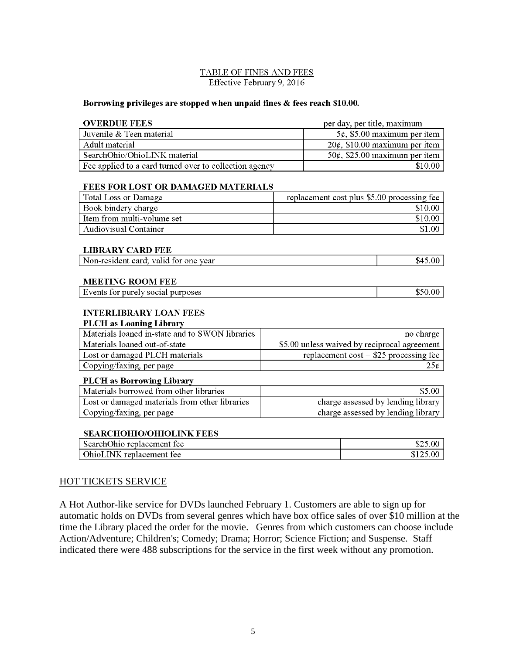#### TABLE OF FINES AND FEES Effective February 9, 2016

#### Borrowing privileges are stopped when unpaid fines & fees reach \$10.00.

| <b>OVERDUE FEES</b>                                                           |           | per day, per title, maximum                 |  |  |
|-------------------------------------------------------------------------------|-----------|---------------------------------------------|--|--|
| Juvenile & Teen material                                                      |           | $5¢$ , \$5.00 maximum per item              |  |  |
| Adult material                                                                |           | $20¢$ , \$10.00 maximum per item            |  |  |
| SearchOhio/OhioLINK material                                                  |           | $50¢$ , \$25.00 maximum per item            |  |  |
| Fee applied to a card turned over to collection agency                        |           | \$10.00                                     |  |  |
|                                                                               |           |                                             |  |  |
| <b>FEES FOR LOST OR DAMAGED MATERIALS</b>                                     |           |                                             |  |  |
| <b>Total Loss or Damage</b>                                                   |           | replacement cost plus \$5.00 processing fee |  |  |
| Book bindery charge                                                           |           | \$10.00                                     |  |  |
| Item from multi-volume set                                                    |           | \$10.00                                     |  |  |
| <b>Audiovisual Container</b>                                                  |           | \$1.00                                      |  |  |
|                                                                               |           |                                             |  |  |
| <b>LIBRARY CARD FEE</b>                                                       |           |                                             |  |  |
| Non-resident card; valid for one year                                         |           | \$45.00                                     |  |  |
|                                                                               |           |                                             |  |  |
| <b>MEETING ROOM FEE</b>                                                       |           |                                             |  |  |
| Events for purely social purposes                                             |           | \$50.00                                     |  |  |
|                                                                               |           |                                             |  |  |
| <b>INTERLIBRARY LOAN FEES</b>                                                 |           |                                             |  |  |
| <b>PLCH</b> as Loaning Library                                                |           |                                             |  |  |
| Materials loaned in-state and to SWON libraries                               | no charge |                                             |  |  |
| \$5.00 unless waived by reciprocal agreement<br>Materials loaned out-of-state |           |                                             |  |  |
| Lost or damaged PLCH materials                                                |           | replacement $cost + $25$ processing fee     |  |  |

 $25<sub>c</sub>$ 

\$5.00

\$25.00

\$125.00

charge assessed by lending library

charge assessed by lending library

# OhioLINK replacement fee

Copying/faxing, per page

Copying/faxing, per page

SearchOhio replacement fee

**PLCH** as Borrowing Library

Materials borrowed from other libraries

**SEARCHOHIO/OHIOLINK FEES** 

Lost or damaged materials from other libraries

#### HOT TICKETS SERVICE

A Hot Author-like service for DVDs launched February 1. Customers are able to sign up for automatic holds on DVDs from several genres which have box office sales of over \$10 million at the time the Library placed the order for the movie. Genres from which customers can choose include Action/Adventure; Children's; Comedy; Drama; Horror; Science Fiction; and Suspense. Staff indicated there were 488 subscriptions for the service in the first week without any promotion.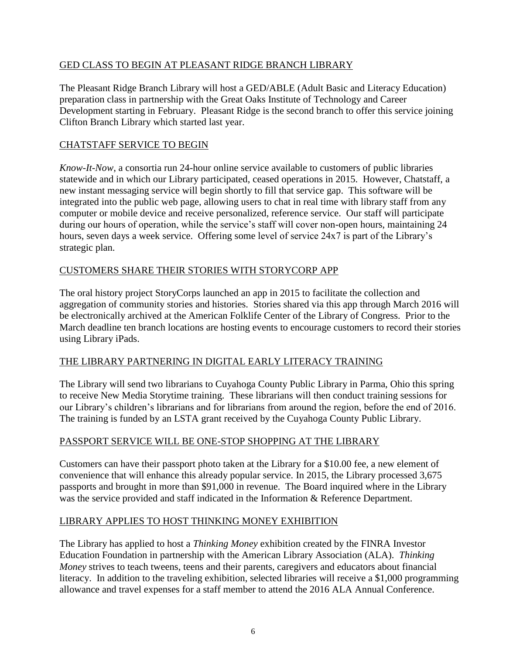#### GED CLASS TO BEGIN AT PLEASANT RIDGE BRANCH LIBRARY

The Pleasant Ridge Branch Library will host a GED/ABLE (Adult Basic and Literacy Education) preparation class in partnership with the Great Oaks Institute of Technology and Career Development starting in February. Pleasant Ridge is the second branch to offer this service joining Clifton Branch Library which started last year.

## CHATSTAFF SERVICE TO BEGIN

*Know-It-Now*, a consortia run 24-hour online service available to customers of public libraries statewide and in which our Library participated, ceased operations in 2015. However, Chatstaff, a new instant messaging service will begin shortly to fill that service gap. This software will be integrated into the public web page, allowing users to chat in real time with library staff from any computer or mobile device and receive personalized, reference service. Our staff will participate during our hours of operation, while the service's staff will cover non-open hours, maintaining 24 hours, seven days a week service. Offering some level of service 24x7 is part of the Library's strategic plan.

#### CUSTOMERS SHARE THEIR STORIES WITH STORYCORP APP

The oral history project StoryCorps launched an app in 2015 to facilitate the collection and aggregation of community stories and histories. Stories shared via this app through March 2016 will be electronically archived at the American Folklife Center of the Library of Congress. Prior to the March deadline ten branch locations are hosting events to encourage customers to record their stories using Library iPads.

#### THE LIBRARY PARTNERING IN DIGITAL EARLY LITERACY TRAINING

The Library will send two librarians to Cuyahoga County Public Library in Parma, Ohio this spring to receive New Media Storytime training. These librarians will then conduct training sessions for our Library's children's librarians and for librarians from around the region, before the end of 2016. The training is funded by an LSTA grant received by the Cuyahoga County Public Library.

#### PASSPORT SERVICE WILL BE ONE-STOP SHOPPING AT THE LIBRARY

Customers can have their passport photo taken at the Library for a \$10.00 fee, a new element of convenience that will enhance this already popular service. In 2015, the Library processed 3,675 passports and brought in more than \$91,000 in revenue. The Board inquired where in the Library was the service provided and staff indicated in the Information & Reference Department.

#### LIBRARY APPLIES TO HOST THINKING MONEY EXHIBITION

The Library has applied to host a *Thinking Money* exhibition created by the FINRA Investor Education Foundation in partnership with the American Library Association (ALA). *Thinking Money* strives to teach tweens, teens and their parents, caregivers and educators about financial literacy. In addition to the traveling exhibition, selected libraries will receive a \$1,000 programming allowance and travel expenses for a staff member to attend the 2016 ALA Annual Conference.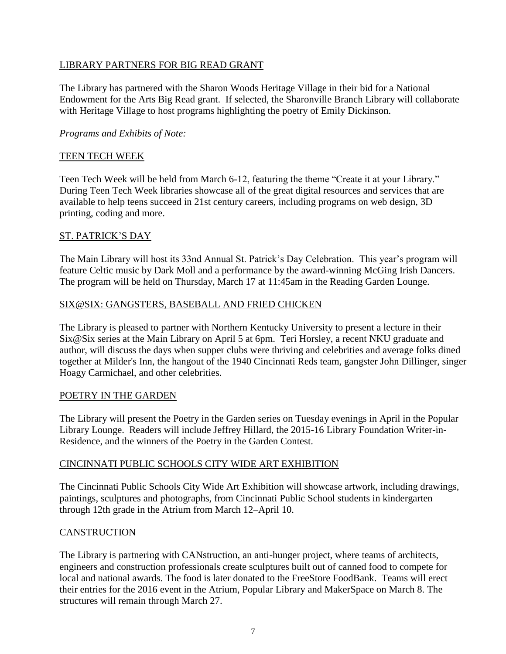#### LIBRARY PARTNERS FOR BIG READ GRANT

The Library has partnered with the Sharon Woods Heritage Village in their bid for a National Endowment for the Arts Big Read grant. If selected, the Sharonville Branch Library will collaborate with Heritage Village to host programs highlighting the poetry of Emily Dickinson.

#### *Programs and Exhibits of Note:*

#### TEEN TECH WEEK

Teen Tech Week will be held from March 6-12, featuring the theme "Create it at your Library." During Teen Tech Week libraries showcase all of the great digital resources and services that are available to help teens succeed in 21st century careers, including programs on web design, 3D printing, coding and more.

#### ST. PATRICK'S DAY

The Main Library will host its 33nd Annual St. Patrick's Day Celebration. This year's program will feature Celtic music by Dark Moll and a performance by the award-winning McGing Irish Dancers. The program will be held on Thursday, March 17 at 11:45am in the Reading Garden Lounge.

#### SIX@SIX: GANGSTERS, BASEBALL AND FRIED CHICKEN

The Library is pleased to partner with Northern Kentucky University to present a lecture in their Six@Six series at the Main Library on April 5 at 6pm. Teri Horsley, a recent NKU graduate and author, will discuss the days when supper clubs were thriving and celebrities and average folks dined together at Milder's Inn, the hangout of the 1940 Cincinnati Reds team, gangster John Dillinger, singer Hoagy Carmichael, and other celebrities.

#### POETRY IN THE GARDEN

The Library will present the Poetry in the Garden series on Tuesday evenings in April in the Popular Library Lounge. Readers will include Jeffrey Hillard, the 2015-16 Library Foundation Writer-in-Residence, and the winners of the Poetry in the Garden Contest.

#### CINCINNATI PUBLIC SCHOOLS CITY WIDE ART EXHIBITION

The Cincinnati Public Schools City Wide Art Exhibition will showcase artwork, including drawings, paintings, sculptures and photographs, from Cincinnati Public School students in kindergarten through 12th grade in the Atrium from March 12–April 10.

#### CANSTRUCTION

The Library is partnering with CANstruction, an anti-hunger project, where teams of architects, engineers and construction professionals create sculptures built out of canned food to compete for local and national awards. The food is later donated to the FreeStore FoodBank. Teams will erect their entries for the 2016 event in the Atrium, Popular Library and MakerSpace on March 8. The structures will remain through March 27.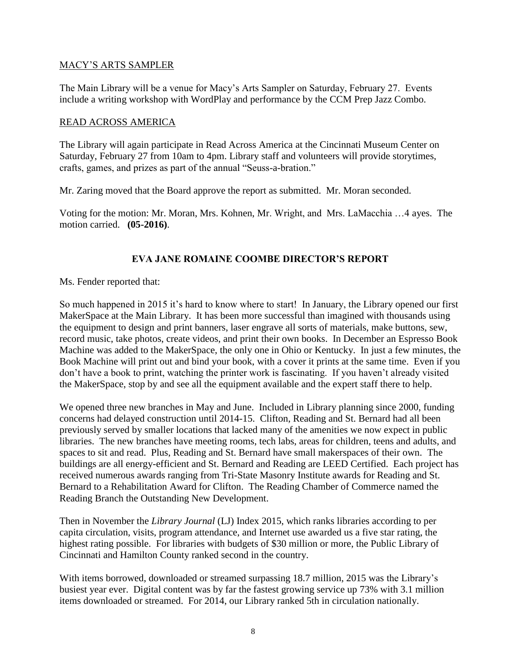#### MACY'S ARTS SAMPLER

The Main Library will be a venue for Macy's Arts Sampler on Saturday, February 27. Events include a writing workshop with WordPlay and performance by the CCM Prep Jazz Combo.

#### READ ACROSS AMERICA

The Library will again participate in Read Across America at the Cincinnati Museum Center on Saturday, February 27 from 10am to 4pm. Library staff and volunteers will provide storytimes, crafts, games, and prizes as part of the annual "Seuss-a-bration."

Mr. Zaring moved that the Board approve the report as submitted. Mr. Moran seconded.

Voting for the motion: Mr. Moran, Mrs. Kohnen, Mr. Wright, and Mrs. LaMacchia …4 ayes. The motion carried. **(05-2016)**.

#### **EVA JANE ROMAINE COOMBE DIRECTOR'S REPORT**

Ms. Fender reported that:

So much happened in 2015 it's hard to know where to start! In January, the Library opened our first MakerSpace at the Main Library. It has been more successful than imagined with thousands using the equipment to design and print banners, laser engrave all sorts of materials, make buttons, sew, record music, take photos, create videos, and print their own books. In December an Espresso Book Machine was added to the MakerSpace, the only one in Ohio or Kentucky. In just a few minutes, the Book Machine will print out and bind your book, with a cover it prints at the same time. Even if you don't have a book to print, watching the printer work is fascinating. If you haven't already visited the MakerSpace, stop by and see all the equipment available and the expert staff there to help.

We opened three new branches in May and June. Included in Library planning since 2000, funding concerns had delayed construction until 2014-15. Clifton, Reading and St. Bernard had all been previously served by smaller locations that lacked many of the amenities we now expect in public libraries. The new branches have meeting rooms, tech labs, areas for children, teens and adults, and spaces to sit and read. Plus, Reading and St. Bernard have small makerspaces of their own. The buildings are all energy-efficient and St. Bernard and Reading are LEED Certified. Each project has received numerous awards ranging from Tri-State Masonry Institute awards for Reading and St. Bernard to a Rehabilitation Award for Clifton. The Reading Chamber of Commerce named the Reading Branch the Outstanding New Development.

Then in November the *Library Journal* (LJ) Index 2015, which ranks libraries according to per capita circulation, visits, program attendance, and Internet use awarded us a five star rating, the highest rating possible. For libraries with budgets of \$30 million or more, the Public Library of Cincinnati and Hamilton County ranked second in the country.

With items borrowed, downloaded or streamed surpassing 18.7 million, 2015 was the Library's busiest year ever. Digital content was by far the fastest growing service up 73% with 3.1 million items downloaded or streamed. For 2014, our Library ranked 5th in circulation nationally.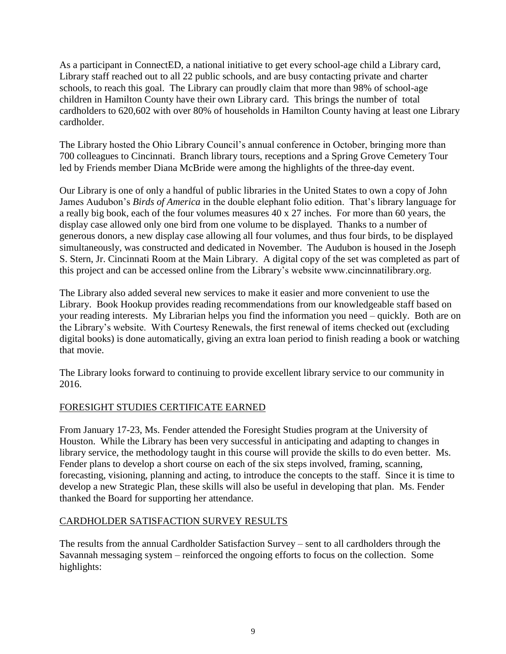As a participant in ConnectED, a national initiative to get every school-age child a Library card, Library staff reached out to all 22 public schools, and are busy contacting private and charter schools, to reach this goal. The Library can proudly claim that more than 98% of school-age children in Hamilton County have their own Library card. This brings the number of total cardholders to 620,602 with over 80% of households in Hamilton County having at least one Library cardholder.

The Library hosted the Ohio Library Council's annual conference in October, bringing more than 700 colleagues to Cincinnati. Branch library tours, receptions and a Spring Grove Cemetery Tour led by Friends member Diana McBride were among the highlights of the three-day event.

Our Library is one of only a handful of public libraries in the United States to own a copy of John James Audubon's *Birds of America* in the double elephant folio edition. That's library language for a really big book, each of the four volumes measures 40 x 27 inches. For more than 60 years, the display case allowed only one bird from one volume to be displayed. Thanks to a number of generous donors, a new display case allowing all four volumes, and thus four birds, to be displayed simultaneously, was constructed and dedicated in November. The Audubon is housed in the Joseph S. Stern, Jr. Cincinnati Room at the Main Library. A digital copy of the set was completed as part of this project and can be accessed online from the Library's website www.cincinnatilibrary.org.

The Library also added several new services to make it easier and more convenient to use the Library. Book Hookup provides reading recommendations from our knowledgeable staff based on your reading interests. My Librarian helps you find the information you need – quickly. Both are on the Library's website. With Courtesy Renewals, the first renewal of items checked out (excluding digital books) is done automatically, giving an extra loan period to finish reading a book or watching that movie.

The Library looks forward to continuing to provide excellent library service to our community in 2016.

## FORESIGHT STUDIES CERTIFICATE EARNED

From January 17-23, Ms. Fender attended the Foresight Studies program at the University of Houston. While the Library has been very successful in anticipating and adapting to changes in library service, the methodology taught in this course will provide the skills to do even better. Ms. Fender plans to develop a short course on each of the six steps involved, framing, scanning, forecasting, visioning, planning and acting, to introduce the concepts to the staff. Since it is time to develop a new Strategic Plan, these skills will also be useful in developing that plan. Ms. Fender thanked the Board for supporting her attendance.

#### CARDHOLDER SATISFACTION SURVEY RESULTS

The results from the annual Cardholder Satisfaction Survey – sent to all cardholders through the Savannah messaging system – reinforced the ongoing efforts to focus on the collection. Some highlights: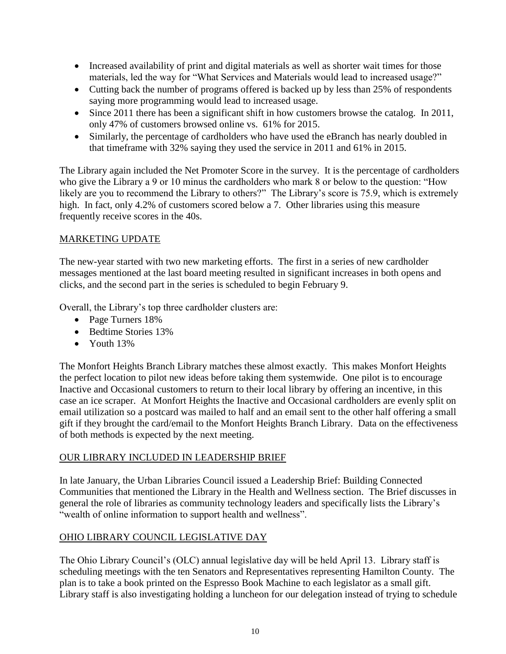- Increased availability of print and digital materials as well as shorter wait times for those materials, led the way for "What Services and Materials would lead to increased usage?"
- Cutting back the number of programs offered is backed up by less than 25% of respondents saying more programming would lead to increased usage.
- Since 2011 there has been a significant shift in how customers browse the catalog. In 2011, only 47% of customers browsed online vs. 61% for 2015.
- Similarly, the percentage of cardholders who have used the eBranch has nearly doubled in that timeframe with 32% saying they used the service in 2011 and 61% in 2015.

The Library again included the Net Promoter Score in the survey. It is the percentage of cardholders who give the Library a 9 or 10 minus the cardholders who mark 8 or below to the question: "How likely are you to recommend the Library to others?" The Library's score is 75.9, which is extremely high. In fact, only 4.2% of customers scored below a 7. Other libraries using this measure frequently receive scores in the 40s.

## MARKETING UPDATE

The new-year started with two new marketing efforts. The first in a series of new cardholder messages mentioned at the last board meeting resulted in significant increases in both opens and clicks, and the second part in the series is scheduled to begin February 9.

Overall, the Library's top three cardholder clusters are:

- Page Turners 18%
- Bedtime Stories 13%
- $\bullet$  Youth 13%

The Monfort Heights Branch Library matches these almost exactly. This makes Monfort Heights the perfect location to pilot new ideas before taking them systemwide. One pilot is to encourage Inactive and Occasional customers to return to their local library by offering an incentive, in this case an ice scraper. At Monfort Heights the Inactive and Occasional cardholders are evenly split on email utilization so a postcard was mailed to half and an email sent to the other half offering a small gift if they brought the card/email to the Monfort Heights Branch Library. Data on the effectiveness of both methods is expected by the next meeting.

#### OUR LIBRARY INCLUDED IN LEADERSHIP BRIEF

In late January, the Urban Libraries Council issued a Leadership Brief: Building Connected Communities that mentioned the Library in the Health and Wellness section. The Brief discusses in general the role of libraries as community technology leaders and specifically lists the Library's "wealth of online information to support health and wellness".

#### OHIO LIBRARY COUNCIL LEGISLATIVE DAY

The Ohio Library Council's (OLC) annual legislative day will be held April 13. Library staff is scheduling meetings with the ten Senators and Representatives representing Hamilton County. The plan is to take a book printed on the Espresso Book Machine to each legislator as a small gift. Library staff is also investigating holding a luncheon for our delegation instead of trying to schedule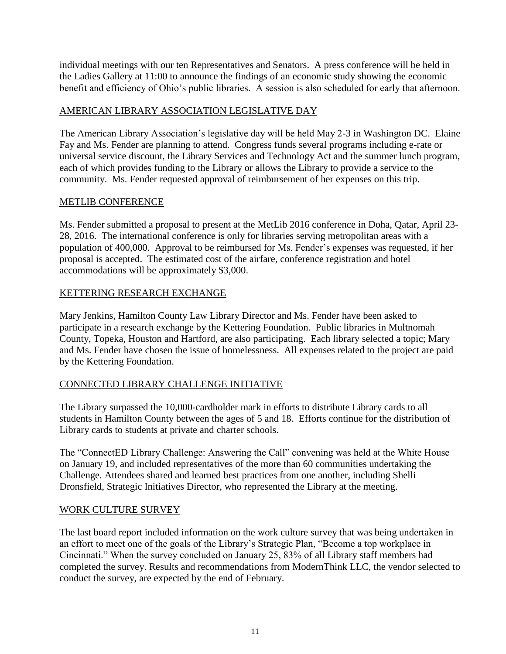individual meetings with our ten Representatives and Senators. A press conference will be held in the Ladies Gallery at 11:00 to announce the findings of an economic study showing the economic benefit and efficiency of Ohio's public libraries. A session is also scheduled for early that afternoon.

#### AMERICAN LIBRARY ASSOCIATION LEGISLATIVE DAY

The American Library Association's legislative day will be held May 2-3 in Washington DC. Elaine Fay and Ms. Fender are planning to attend. Congress funds several programs including e-rate or universal service discount, the Library Services and Technology Act and the summer lunch program, each of which provides funding to the Library or allows the Library to provide a service to the community. Ms. Fender requested approval of reimbursement of her expenses on this trip.

#### METLIB CONFERENCE

Ms. Fender submitted a proposal to present at the MetLib 2016 conference in Doha, Qatar, April 23- 28, 2016. The international conference is only for libraries serving metropolitan areas with a population of 400,000. Approval to be reimbursed for Ms. Fender's expenses was requested, if her proposal is accepted. The estimated cost of the airfare, conference registration and hotel accommodations will be approximately \$3,000.

## KETTERING RESEARCH EXCHANGE

Mary Jenkins, Hamilton County Law Library Director and Ms. Fender have been asked to participate in a research exchange by the Kettering Foundation. Public libraries in Multnomah County, Topeka, Houston and Hartford, are also participating. Each library selected a topic; Mary and Ms. Fender have chosen the issue of homelessness. All expenses related to the project are paid by the Kettering Foundation.

## CONNECTED LIBRARY CHALLENGE INITIATIVE

The Library surpassed the 10,000-cardholder mark in efforts to distribute Library cards to all students in Hamilton County between the ages of 5 and 18. Efforts continue for the distribution of Library cards to students at private and charter schools.

The "ConnectED Library Challenge: Answering the Call" convening was held at the White House on January 19, and included representatives of the more than 60 communities undertaking the Challenge. Attendees shared and learned best practices from one another, including Shelli Dronsfield, Strategic Initiatives Director, who represented the Library at the meeting.

#### WORK CULTURE SURVEY

The last board report included information on the work culture survey that was being undertaken in an effort to meet one of the goals of the Library's Strategic Plan, "Become a top workplace in Cincinnati." When the survey concluded on January 25, 83% of all Library staff members had completed the survey. Results and recommendations from ModernThink LLC, the vendor selected to conduct the survey, are expected by the end of February.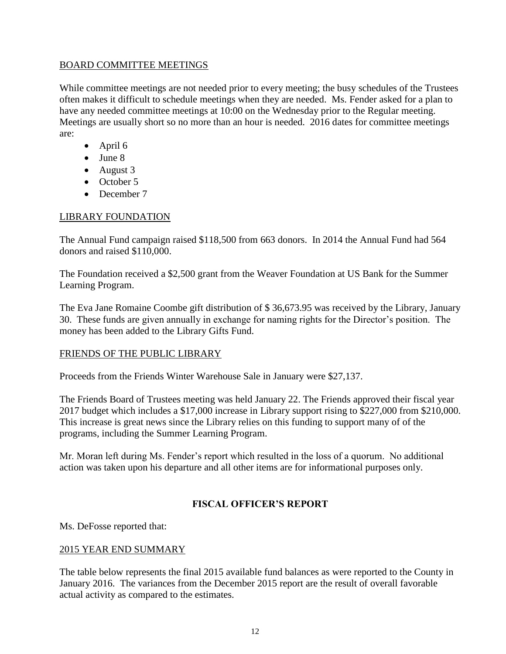#### BOARD COMMITTEE MEETINGS

While committee meetings are not needed prior to every meeting; the busy schedules of the Trustees often makes it difficult to schedule meetings when they are needed. Ms. Fender asked for a plan to have any needed committee meetings at 10:00 on the Wednesday prior to the Regular meeting. Meetings are usually short so no more than an hour is needed. 2016 dates for committee meetings are:

- $\bullet$  April 6
- June 8
- August 3
- October 5
- December 7

## LIBRARY FOUNDATION

The Annual Fund campaign raised \$118,500 from 663 donors. In 2014 the Annual Fund had 564 donors and raised \$110,000.

The Foundation received a \$2,500 grant from the Weaver Foundation at US Bank for the Summer Learning Program.

The Eva Jane Romaine Coombe gift distribution of \$ 36,673.95 was received by the Library, January 30. These funds are given annually in exchange for naming rights for the Director's position. The money has been added to the Library Gifts Fund.

#### FRIENDS OF THE PUBLIC LIBRARY

Proceeds from the Friends Winter Warehouse Sale in January were \$27,137.

The Friends Board of Trustees meeting was held January 22. The Friends approved their fiscal year 2017 budget which includes a \$17,000 increase in Library support rising to \$227,000 from \$210,000. This increase is great news since the Library relies on this funding to support many of of the programs, including the Summer Learning Program.

Mr. Moran left during Ms. Fender's report which resulted in the loss of a quorum. No additional action was taken upon his departure and all other items are for informational purposes only.

## **FISCAL OFFICER'S REPORT**

Ms. DeFosse reported that:

#### 2015 YEAR END SUMMARY

The table below represents the final 2015 available fund balances as were reported to the County in January 2016. The variances from the December 2015 report are the result of overall favorable actual activity as compared to the estimates.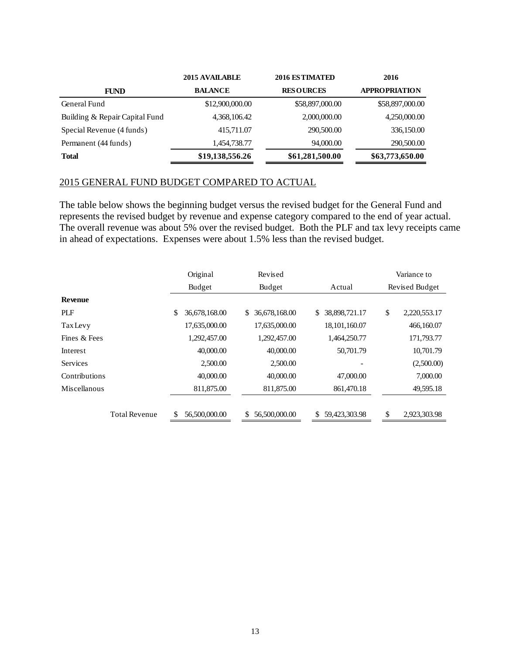|                                | 2015 AVAILABLE  | 2016 ESTIMATED   | 2016                 |  |
|--------------------------------|-----------------|------------------|----------------------|--|
| <b>FUND</b>                    | <b>BALANCE</b>  | <b>RESOURCES</b> | <b>APPROPRIATION</b> |  |
| General Fund                   | \$12,900,000.00 | \$58,897,000.00  | \$58,897,000.00      |  |
| Building & Repair Capital Fund | 4,368,106.42    | 2,000,000.00     | 4,250,000.00         |  |
| Special Revenue (4 funds)      | 415,711.07      | 290,500.00       | 336,150.00           |  |
| Permanent (44 funds)           | 1,454,738.77    | 94,000.00        | 290,500.00           |  |
| <b>Total</b>                   | \$19,138,556.26 | \$61,281,500.00  | \$63,773,650.00      |  |

#### 2015 GENERAL FUND BUDGET COMPARED TO ACTUAL

The table below shows the beginning budget versus the revised budget for the General Fund and represents the revised budget by revenue and expense category compared to the end of year actual. The overall revenue was about 5% over the revised budget. Both the PLF and tax levy receipts came in ahead of expectations. Expenses were about 1.5% less than the revised budget.

|                      | Original            | Revised             |                     |                | Variance to  |
|----------------------|---------------------|---------------------|---------------------|----------------|--------------|
|                      | Budget              | <b>Budget</b>       | Actual              | Revised Budget |              |
| <b>Revenue</b>       |                     |                     |                     |                |              |
| PLF                  | \$<br>36,678,168.00 | 36,678,168.00<br>\$ | 38,898,721.17<br>\$ | \$             | 2,220,553.17 |
| <b>Tax Levy</b>      | 17,635,000.00       | 17,635,000.00       | 18,101,160.07       |                | 466,160.07   |
| Fines & Fees         | 1,292,457.00        | 1,292,457.00        | 1,464,250.77        |                | 171,793.77   |
| Interest             | 40,000.00           | 40,000,00           | 50,701.79           |                | 10,701.79    |
| <b>Services</b>      | 2,500.00            | 2,500.00            |                     |                | (2,500.00)   |
| Contributions        | 40,000.00           | 40,000.00           | 47,000.00           |                | 7,000.00     |
| <b>Miscellanous</b>  | 811,875.00          | 811,875.00          | 861,470.18          |                | 49,595.18    |
| <b>Total Revenue</b> | \$<br>56,500,000.00 | 56,500,000.00<br>\$ | \$<br>59,423,303.98 | \$             | 2,923,303.98 |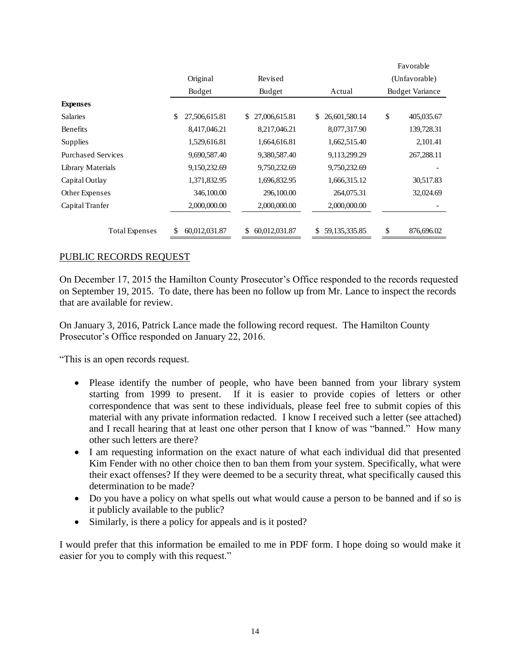|                           |                     |                     |                        |                                         | ravoiaute  |
|---------------------------|---------------------|---------------------|------------------------|-----------------------------------------|------------|
|                           | Original            | Revised             |                        | (Unfavorable)<br><b>Budget Variance</b> |            |
|                           | Budget              | Budget              | Actual                 |                                         |            |
| <b>Expenses</b>           |                     |                     |                        |                                         |            |
| <b>Salaries</b>           | \$<br>27,506,615.81 | 27,006,615.81<br>\$ | 26,601,580.14<br>\$    | \$                                      | 405,035.67 |
| Benefits                  | 8,417,046.21        | 8,217,046.21        | 8,077,317.90           |                                         | 139,728.31 |
| Supplies                  | 1,529,616.81        | 1,664,616.81        | 1,662,515.40           |                                         | 2,101.41   |
| <b>Purchased Services</b> | 9,690,587.40        | 9,380,587.40        | 9,113,299.29           |                                         | 267,288.11 |
| <b>Library Materials</b>  | 9,150,232.69        | 9,750,232.69        | 9,750,232.69           |                                         |            |
| Capital Outlay            | 1,371,832.95        | 1,696,832.95        | 1,666,315.12           |                                         | 30,517.83  |
| Other Expenses            | 346,100.00          | 296,100.00          | 264,075.31             |                                         | 32,024.69  |
| Capital Tranfer           | 2,000,000.00        | 2,000,000.00        | 2,000,000.00           |                                         |            |
|                           |                     |                     |                        |                                         |            |
| <b>Total Expenses</b>     | \$<br>60,012,031.87 | 60,012,031.87<br>\$ | 59, 135, 335. 85<br>\$ | \$                                      | 876,696.02 |

Favorable

#### PUBLIC RECORDS REQUEST

On December 17, 2015 the Hamilton County Prosecutor's Office responded to the records requested on September 19, 2015. To date, there has been no follow up from Mr. Lance to inspect the records that are available for review.

On January 3, 2016, Patrick Lance made the following record request. The Hamilton County Prosecutor's Office responded on January 22, 2016.

"This is an open records request.

- Please identify the number of people, who have been banned from your library system starting from 1999 to present. If it is easier to provide copies of letters or other correspondence that was sent to these individuals, please feel free to submit copies of this material with any private information redacted. I know I received such a letter (see attached) and I recall hearing that at least one other person that I know of was "banned." How many other such letters are there?
- I am requesting information on the exact nature of what each individual did that presented Kim Fender with no other choice then to ban them from your system. Specifically, what were their exact offenses? If they were deemed to be a security threat, what specifically caused this determination to be made?
- Do you have a policy on what spells out what would cause a person to be banned and if so is it publicly available to the public?
- Similarly, is there a policy for appeals and is it posted?

I would prefer that this information be emailed to me in PDF form. I hope doing so would make it easier for you to comply with this request."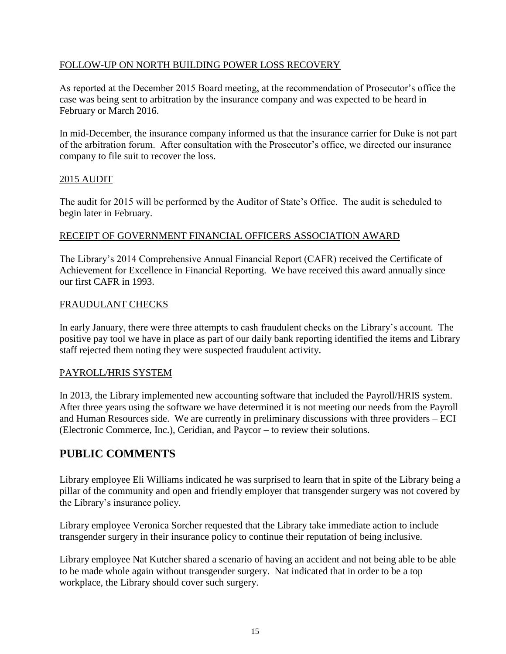#### FOLLOW-UP ON NORTH BUILDING POWER LOSS RECOVERY

As reported at the December 2015 Board meeting, at the recommendation of Prosecutor's office the case was being sent to arbitration by the insurance company and was expected to be heard in February or March 2016.

In mid-December, the insurance company informed us that the insurance carrier for Duke is not part of the arbitration forum. After consultation with the Prosecutor's office, we directed our insurance company to file suit to recover the loss.

#### 2015 AUDIT

The audit for 2015 will be performed by the Auditor of State's Office. The audit is scheduled to begin later in February.

#### RECEIPT OF GOVERNMENT FINANCIAL OFFICERS ASSOCIATION AWARD

The Library's 2014 Comprehensive Annual Financial Report (CAFR) received the Certificate of Achievement for Excellence in Financial Reporting. We have received this award annually since our first CAFR in 1993.

#### FRAUDULANT CHECKS

In early January, there were three attempts to cash fraudulent checks on the Library's account. The positive pay tool we have in place as part of our daily bank reporting identified the items and Library staff rejected them noting they were suspected fraudulent activity.

#### PAYROLL/HRIS SYSTEM

In 2013, the Library implemented new accounting software that included the Payroll/HRIS system. After three years using the software we have determined it is not meeting our needs from the Payroll and Human Resources side. We are currently in preliminary discussions with three providers – ECI (Electronic Commerce, Inc.), Ceridian, and Paycor – to review their solutions.

## **PUBLIC COMMENTS**

Library employee Eli Williams indicated he was surprised to learn that in spite of the Library being a pillar of the community and open and friendly employer that transgender surgery was not covered by the Library's insurance policy.

Library employee Veronica Sorcher requested that the Library take immediate action to include transgender surgery in their insurance policy to continue their reputation of being inclusive.

Library employee Nat Kutcher shared a scenario of having an accident and not being able to be able to be made whole again without transgender surgery. Nat indicated that in order to be a top workplace, the Library should cover such surgery.